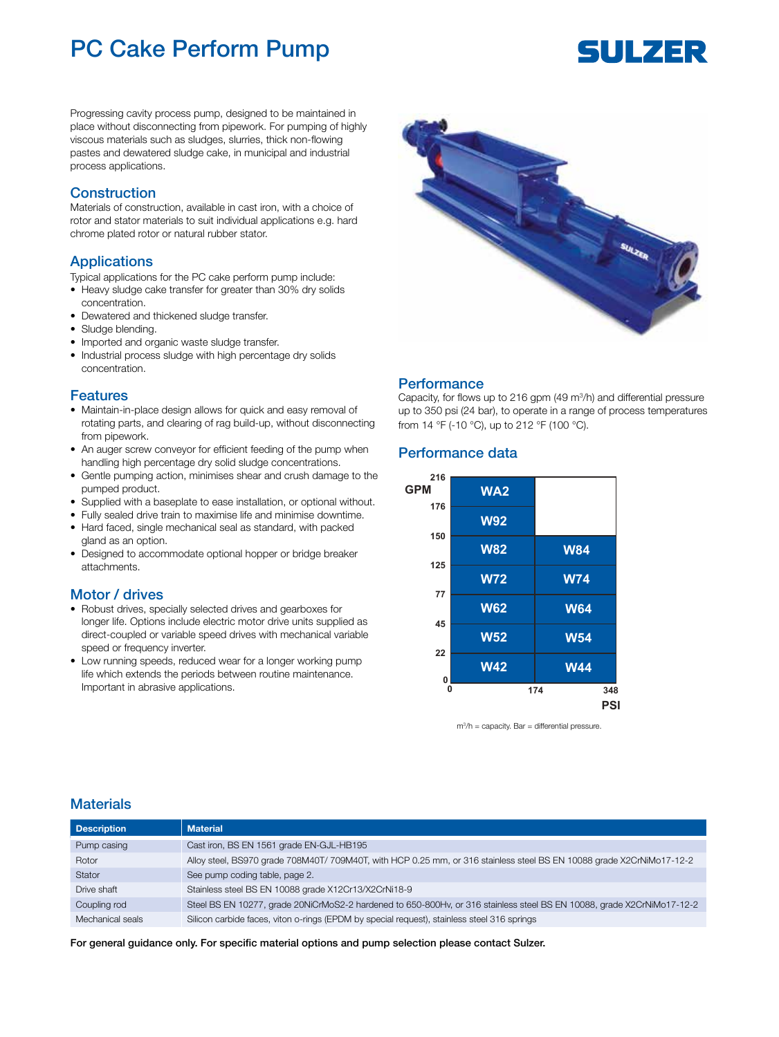## PC Cake Perform Pump

# SULZER

Progressing cavity process pump, designed to be maintained in place without disconnecting from pipework. For pumping of highly viscous materials such as sludges, slurries, thick non-flowing pastes and dewatered sludge cake, in municipal and industrial process applications.

#### Construction

Materials of construction, available in cast iron, with a choice of rotor and stator materials to suit individual applications e.g. hard chrome plated rotor or natural rubber stator.

#### Applications

Typical applications for the PC cake perform pump include:

- Heavy sludge cake transfer for greater than 30% dry solids concentration.
- Dewatered and thickened sludge transfer.
- Sludge blending.
- Imported and organic waste sludge transfer.
- Industrial process sludge with high percentage dry solids concentration.

#### Features

- Maintain-in-place design allows for quick and easy removal of rotating parts, and clearing of rag build-up, without disconnecting from pipework.
- An auger screw conveyor for efficient feeding of the pump when handling high percentage dry solid sludge concentrations.
- Gentle pumping action, minimises shear and crush damage to the pumped product.
- Supplied with a baseplate to ease installation, or optional without.
- Fully sealed drive train to maximise life and minimise downtime. • Hard faced, single mechanical seal as standard, with packed gland as an option.
- Designed to accommodate optional hopper or bridge breaker attachments.

#### Motor / drives

- Robust drives, specially selected drives and gearboxes for longer life. Options include electric motor drive units supplied as direct-coupled or variable speed drives with mechanical variable speed or frequency inverter.
- Low running speeds, reduced wear for a longer working pump life which extends the periods between routine maintenance. Important in abrasive applications.



#### **Performance**

Capacity, for flows up to 216 gpm (49 m<sup>3</sup> /h) and differential pressure up to 350 psi (24 bar), to operate in a range of process temperatures from 14 °F (-10 °C), up to 212 °F (100 °C).

#### Performance data



m3 /h = capacity. Bar = differential pressure.

#### **Materials**

| <b>Description</b> | <b>Material</b>                                                                                                        |
|--------------------|------------------------------------------------------------------------------------------------------------------------|
| Pump casing        | Cast iron, BS EN 1561 grade EN-GJL-HB195                                                                               |
| Rotor              | Alloy steel, BS970 grade 708M40T/ 709M40T, with HCP 0.25 mm, or 316 stainless steel BS EN 10088 grade X2CrNiMo17-12-2  |
| Stator             | See pump coding table, page 2.                                                                                         |
| Drive shaft        | Stainless steel BS EN 10088 grade X12Cr13/X2CrNi18-9                                                                   |
| Coupling rod       | Steel BS EN 10277, grade 20NiCrMoS2-2 hardened to 650-800Hv, or 316 stainless steel BS EN 10088, grade X2CrNiMo17-12-2 |
| Mechanical seals   | Silicon carbide faces, viton o-rings (EPDM by special request), stainless steel 316 springs                            |

#### For general guidance only. For specific material options and pump selection please contact Sulzer.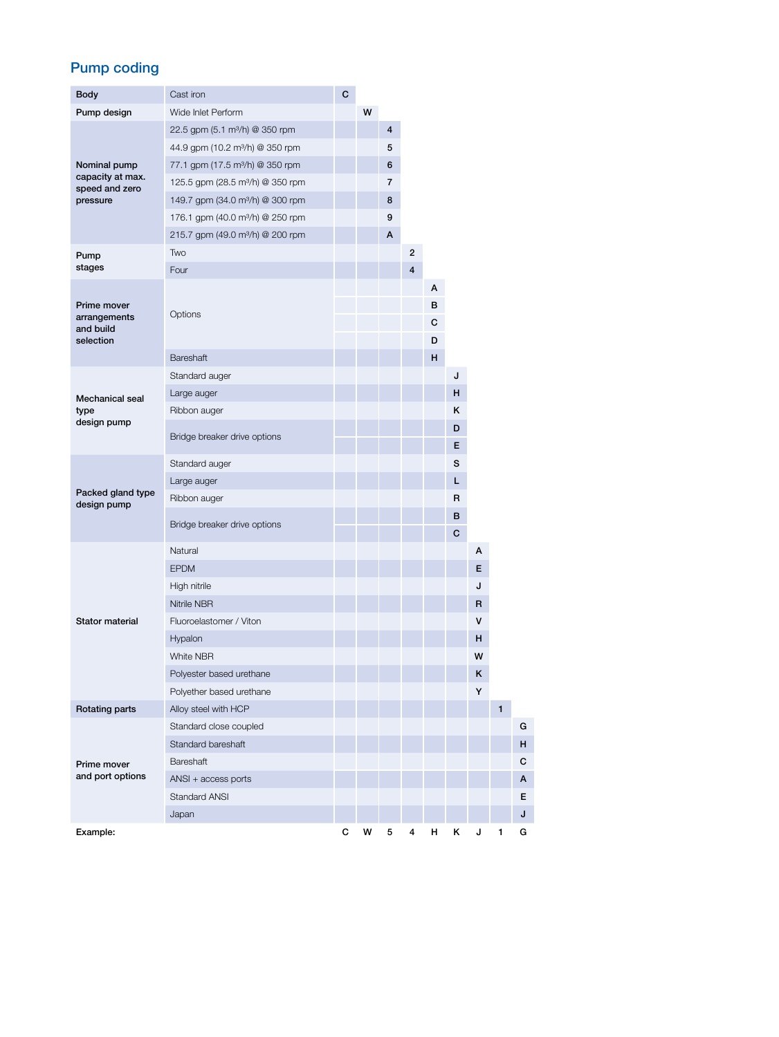## Pump coding

| Body                                                           | Cast iron                                    | C |   |                         |   |                  |        |    |                |   |
|----------------------------------------------------------------|----------------------------------------------|---|---|-------------------------|---|------------------|--------|----|----------------|---|
| Pump design                                                    | Wide Inlet Perform                           |   | W |                         |   |                  |        |    |                |   |
|                                                                | 22.5 gpm (5.1 m <sup>3</sup> /h) @ 350 rpm   |   |   | $\overline{\mathbf{4}}$ |   |                  |        |    |                |   |
| Nominal pump<br>capacity at max.<br>speed and zero<br>pressure | 44.9 gpm (10.2 m <sup>3</sup> /h) @ 350 rpm  |   |   | 5                       |   |                  |        |    |                |   |
|                                                                | 77.1 gpm (17.5 m <sup>3</sup> /h) @ 350 rpm  |   |   | 6                       |   |                  |        |    |                |   |
|                                                                | 125.5 gpm (28.5 m <sup>3</sup> /h) @ 350 rpm |   |   | 7                       |   |                  |        |    |                |   |
|                                                                | 149.7 gpm (34.0 m <sup>3</sup> /h) @ 300 rpm |   |   | 8                       |   |                  |        |    |                |   |
|                                                                | 176.1 gpm (40.0 m <sup>3</sup> /h) @ 250 rpm |   |   | 9                       |   |                  |        |    |                |   |
|                                                                | 215.7 gpm (49.0 m <sup>3</sup> /h) @ 200 rpm |   |   | A                       |   |                  |        |    |                |   |
| Pump                                                           | Two                                          |   |   |                         | 2 |                  |        |    |                |   |
| stages                                                         | Four                                         |   |   |                         | 4 |                  |        |    |                |   |
| Prime mover<br>arrangements<br>and build<br>selection          | Options                                      |   |   |                         |   | А<br>в<br>C<br>D |        |    |                |   |
|                                                                | Bareshaft                                    |   |   |                         |   | н                |        |    |                |   |
|                                                                | Standard auger                               |   |   |                         |   |                  | J      |    |                |   |
| Mechanical seal                                                | Large auger                                  |   |   |                         |   |                  | н      |    |                |   |
| type                                                           | Ribbon auger                                 |   |   |                         |   |                  | ĸ      |    |                |   |
| design pump                                                    | Bridge breaker drive options                 |   |   |                         |   |                  | D<br>E |    |                |   |
|                                                                | Standard auger                               |   |   |                         |   |                  | s      |    |                |   |
|                                                                | Large auger                                  |   |   |                         |   |                  | L.     |    |                |   |
| Packed gland type<br>design pump                               | Ribbon auger                                 |   |   |                         |   |                  | R      |    |                |   |
|                                                                | Bridge breaker drive options                 |   |   |                         |   |                  | B<br>с |    |                |   |
|                                                                | Natural                                      |   |   |                         |   |                  |        | А  |                |   |
|                                                                | <b>EPDM</b>                                  |   |   |                         |   |                  |        | E. |                |   |
|                                                                | High nitrile                                 |   |   |                         |   |                  |        | J  |                |   |
|                                                                | Nitrile NBR                                  |   |   |                         |   |                  |        | R  |                |   |
| <b>Stator material</b>                                         | Fluoroelastomer / Viton                      |   |   |                         |   |                  |        | v  |                |   |
|                                                                | Hypalon                                      |   |   |                         |   |                  |        | н  |                |   |
|                                                                | White NBR                                    |   |   |                         |   |                  |        | W  |                |   |
|                                                                | Polyester based urethane                     |   |   |                         |   |                  |        | κ  |                |   |
|                                                                | Polyether based urethane                     |   |   |                         |   |                  |        | Y  |                |   |
| Rotating parts                                                 | Alloy steel with HCP                         |   |   |                         |   |                  |        |    | $\blacksquare$ |   |
|                                                                | Standard close coupled                       |   |   |                         |   |                  |        |    |                | G |
|                                                                | Standard bareshaft                           |   |   |                         |   |                  |        |    |                | H |
| Prime mover                                                    | Bareshaft                                    |   |   |                         |   |                  |        |    |                | C |
| and port options                                               | ANSI + access ports                          |   |   |                         |   |                  |        |    |                | A |
|                                                                | Standard ANSI                                |   |   |                         |   |                  |        |    |                | E |
|                                                                | Japan                                        |   |   |                         |   |                  |        |    |                | J |
| Example:                                                       |                                              | с | W | 5                       | 4 | н                | κ      | J  | 1              | G |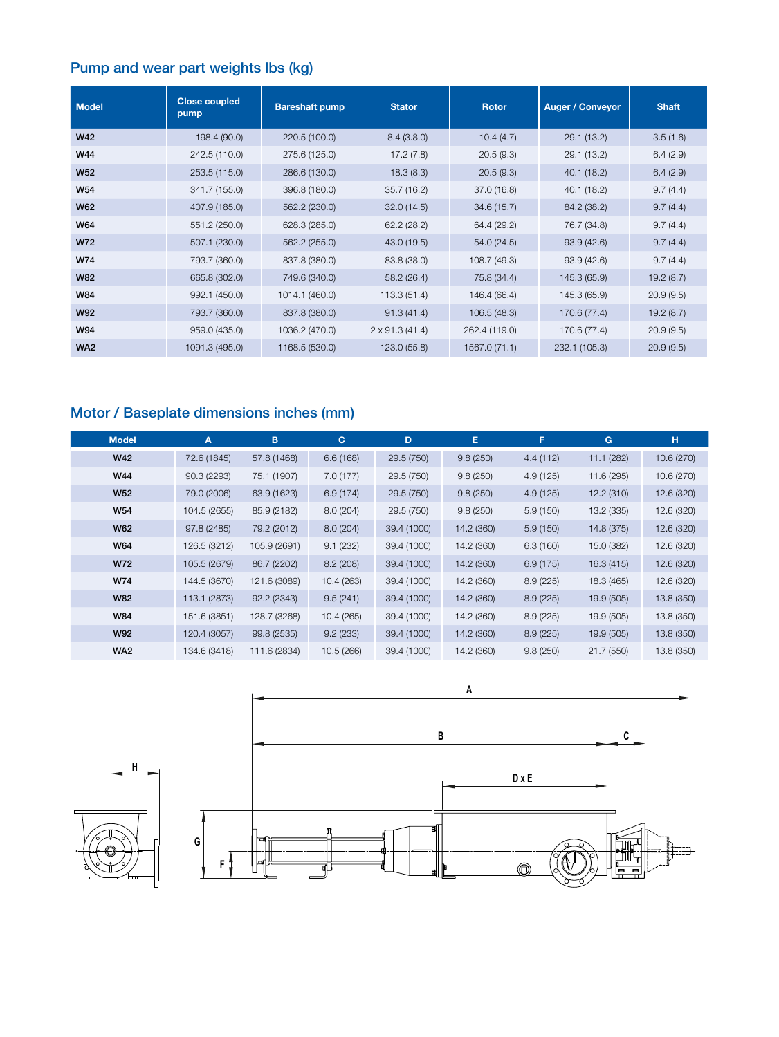## Pump and wear part weights lbs (kg)

| <b>Model</b>    | <b>Close coupled</b><br>pump | <b>Bareshaft pump</b> | <b>Stator</b>         | <b>Rotor</b>  | <b>Auger / Conveyor</b> | <b>Shaft</b> |
|-----------------|------------------------------|-----------------------|-----------------------|---------------|-------------------------|--------------|
| W42             | 198.4 (90.0)                 | 220.5 (100.0)         | 8.4(3.8.0)            | 10.4(4.7)     | 29.1 (13.2)             | 3.5(1.6)     |
| W44             | 242.5 (110.0)                | 275.6 (125.0)         | 17.2(7.8)             | 20.5(9.3)     | 29.1 (13.2)             | 6.4(2.9)     |
| <b>W52</b>      | 253.5 (115.0)                | 286.6 (130.0)         | 18.3(8.3)             | 20.5(9.3)     | 40.1 (18.2)             | 6.4(2.9)     |
| W54             | 341.7 (155.0)                | 396.8 (180.0)         | 35.7(16.2)            | 37.0 (16.8)   | 40.1 (18.2)             | 9.7(4.4)     |
| W62             | 407.9 (185.0)                | 562.2 (230.0)         | 32.0(14.5)            | 34.6 (15.7)   | 84.2 (38.2)             | 9.7(4.4)     |
| W64             | 551.2 (250.0)                | 628.3 (285.0)         | 62.2(28.2)            | 64.4 (29.2)   | 76.7 (34.8)             | 9.7(4.4)     |
| W72             | 507.1 (230.0)                | 562.2 (255.0)         | 43.0 (19.5)           | 54.0 (24.5)   | 93.9(42.6)              | 9.7(4.4)     |
| W74             | 793.7 (360.0)                | 837.8 (380.0)         | 83.8 (38.0)           | 108.7 (49.3)  | 93.9(42.6)              | 9.7(4.4)     |
| <b>W82</b>      | 665.8 (302.0)                | 749.6 (340.0)         | 58.2 (26.4)           | 75.8 (34.4)   | 145.3 (65.9)            | 19.2(8.7)    |
| <b>W84</b>      | 992.1 (450.0)                | 1014.1 (460.0)        | 113.3 (51.4)          | 146.4 (66.4)  | 145.3 (65.9)            | 20.9(9.5)    |
| <b>W92</b>      | 793.7 (360.0)                | 837.8 (380.0)         | 91.3(41.4)            | 106.5 (48.3)  | 170.6 (77.4)            | 19.2(8.7)    |
| W94             | 959.0 (435.0)                | 1036.2 (470.0)        | $2 \times 91.3(41.4)$ | 262.4 (119.0) | 170.6 (77.4)            | 20.9(9.5)    |
| WA <sub>2</sub> | 1091.3 (495.0)               | 1168.5 (530.0)        | 123.0 (55.8)          | 1567.0 (71.1) | 232.1 (105.3)           | 20.9(9.5)    |

## Motor / Baseplate dimensions inches (mm)

| <b>Model</b>    | A            | B            | $\mathbf{C}$ | D           | E.         | F         | G          | н          |
|-----------------|--------------|--------------|--------------|-------------|------------|-----------|------------|------------|
| <b>W42</b>      | 72.6 (1845)  | 57.8 (1468)  | 6.6(168)     | 29.5 (750)  | 9.8(250)   | 4.4 (112) | 11.1(282)  | 10.6 (270) |
| W44             | 90.3 (2293)  | 75.1 (1907)  | 7.0(177)     | 29.5 (750)  | 9.8(250)   | 4.9 (125) | 11.6 (295) | 10.6 (270) |
| <b>W52</b>      | 79.0 (2006)  | 63.9 (1623)  | 6.9(174)     | 29.5 (750)  | 9.8(250)   | 4.9(125)  | 12.2(310)  | 12.6 (320) |
| <b>W54</b>      | 104.5 (2655) | 85.9 (2182)  | 8.0 (204)    | 29.5 (750)  | 9.8(250)   | 5.9(150)  | 13.2 (335) | 12.6 (320) |
| <b>W62</b>      | 97.8 (2485)  | 79.2 (2012)  | 8.0(204)     | 39.4 (1000) | 14.2 (360) | 5.9(150)  | 14.8 (375) | 12.6 (320) |
| W64             | 126.5 (3212) | 105.9 (2691) | 9.1(232)     | 39.4 (1000) | 14.2 (360) | 6.3(160)  | 15.0 (382) | 12.6 (320) |
| W72             | 105.5 (2679) | 86.7 (2202)  | 8.2(208)     | 39.4 (1000) | 14.2 (360) | 6.9(175)  | 16.3(415)  | 12.6 (320) |
| W74             | 144.5 (3670) | 121.6 (3089) | 10.4 (263)   | 39.4 (1000) | 14.2 (360) | 8.9(225)  | 18.3 (465) | 12.6 (320) |
| <b>W82</b>      | 113.1 (2873) | 92.2 (2343)  | 9.5(241)     | 39.4 (1000) | 14.2 (360) | 8.9(225)  | 19.9 (505) | 13.8 (350) |
| W84             | 151.6 (3851) | 128.7 (3268) | 10.4 (265)   | 39.4 (1000) | 14.2 (360) | 8.9(225)  | 19.9 (505) | 13.8 (350) |
| <b>W92</b>      | 120.4 (3057) | 99.8 (2535)  | 9.2(233)     | 39.4 (1000) | 14.2 (360) | 8.9(225)  | 19.9 (505) | 13.8 (350) |
| WA <sub>2</sub> | 134.6 (3418) | 111.6 (2834) | 10.5 (266)   | 39.4 (1000) | 14.2 (360) | 9.8(250)  | 21.7 (550) | 13.8 (350) |